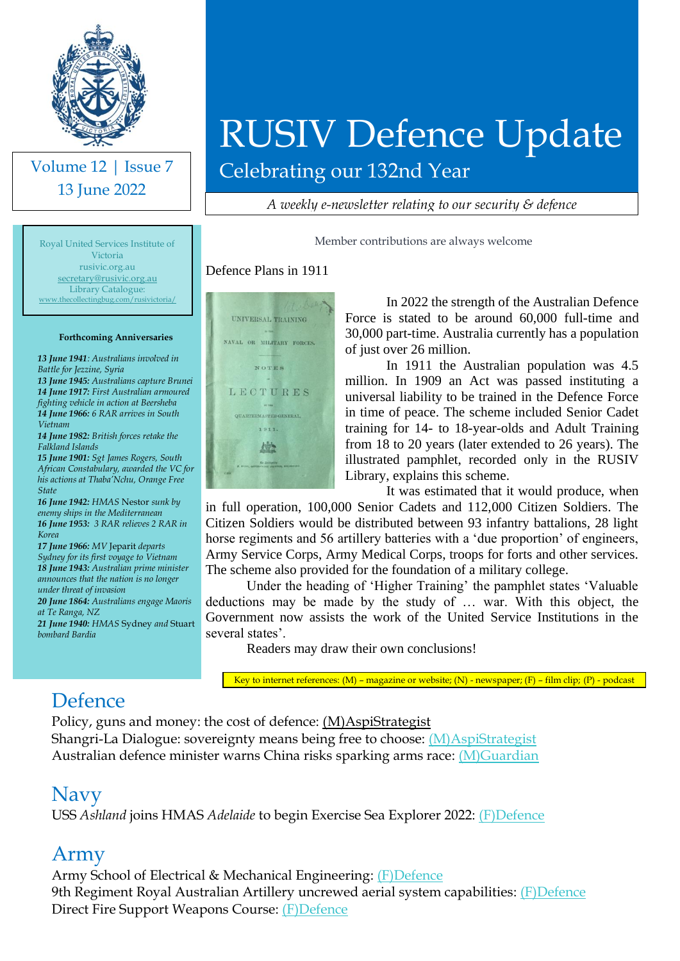

Volume 12 | Issue 7 13 June 2022

# RUSIV Defence Update

Celebrating our 132nd Year

*A weekly e-newsletter relating to our security & defence*

Member contributions are always welcome

Royal United Services Institute of Victoria rusivic.org.au [secretary@rusivic.org.au](mailto:secretary@rusivic.org.au) Library Catalogue: [www.thecollectingbug.com/rusivictoria/](http://www.thecollectingbug.com/rusivictoria/)

#### **Forthcoming Anniversaries**

*13 June 1941: Australians involved in Battle for Jezzine, Syria 13 June 1945: Australians capture Brunei 14 June 1917: First Australian armoured fighting vehicle in action at Beersheba 14 June 1966: 6 RAR arrives in South Vietnam*

*14 June 1982: British forces retake the Falkland Islands*

*15 June 1901: Sgt James Rogers, South African Constabulary, awarded the VC for his actions at Thaba'Nchu, Orange Free State*

*16 June 1942: HMAS* Nestor *sunk by enemy ships in the Mediterranean 16 June 1953: 3 RAR relieves 2 RAR in Korea*

*17 June 1966: MV* Jeparit *departs Sydney for its first voyage to Vietnam 18 June 1943: Australian prime minister announces that the nation is no longer under threat of invasion*

*20 June 1864: Australians engage Maoris at Te Ranga, NZ*

*21 June 1940: HMAS* Sydney *and* Stuart *bombard Bardia*



Defence Plans in 1911

In 2022 the strength of the Australian Defence Force is stated to be around 60,000 full-time and 30,000 part-time. Australia currently has a population of just over 26 million.

In 1911 the Australian population was 4.5 million. In 1909 an Act was passed instituting a universal liability to be trained in the Defence Force in time of peace. The scheme included Senior Cadet training for 14- to 18-year-olds and Adult Training from 18 to 20 years (later extended to 26 years). The illustrated pamphlet, recorded only in the RUSIV Library, explains this scheme.

It was estimated that it would produce, when in full operation, 100,000 Senior Cadets and 112,000 Citizen Soldiers. The Citizen Soldiers would be distributed between 93 infantry battalions, 28 light horse regiments and 56 artillery batteries with a 'due proportion' of engineers, Army Service Corps, Army Medical Corps, troops for forts and other services. The scheme also provided for the foundation of a military college.

Under the heading of 'Higher Training' the pamphlet states 'Valuable deductions may be made by the study of … war. With this object, the Government now assists the work of the United Service Institutions in the several states'.

Readers may draw their own conclusions!

Key to internet references: (M) – magazine or website; (N) - newspaper; (F) – film clip; (P) - podcast

### Defence

Policy, guns and money: the cost of defence: [\(M\)AspiStrategist](https://www.aspistrategist.org.au/policy-guns-and-money-the-cost-of-defence/?utm_medium=email&utm_campaign=Daily%20The%20Strategist&utm_content=Daily%20The%20Strategist+CID_b5e5aa0e173d3e4fbb1a52fa14f46986&utm_source=CampaignMonitor&utm_term=Policy%20Guns%20and%20Money%20The%20cost%20of%20Defence) Shangri-La Dialogue: sovereignty means being free to choose: [\(M\)AspiStrategist](https://www.aspistrategist.org.au/shangri-la-dialogue-sovereignty-means-being-free-to-choose/?utm_medium=email&utm_campaign=Daily%20The%20Strategist&utm_content=Daily%20The%20Strategist+CID_c4d9b460dc7b329e652112e33ad0f3df&utm_source=CampaignMonitor&utm_term=Shangri-La%20Dialogue%20sovereignty%20means%20being%20free%20to%20choose) Australian defence minister warns China risks sparking arms race: [\(M\)Guardian](https://www.theguardian.com/australia-news/2022/jun/11/australian-defence-minister-warns-china-risks-sparking-arms-race)

#### Navy

USS *Ashland* joins HMAS *Adelaide* to begin Exercise Sea Explorer 2022: [\(F\)Defence](https://www.youtube.com/watch?v=fUww9oRpyOw)

#### Army

Army School of Electrical & Mechanical Engineering: [\(F\)Defence](https://www.youtube.com/watch?v=3ut0n70NyC8)  9th Regiment Royal Australian Artillery uncrewed aerial system capabilities: [\(F\)Defence](https://www.youtube.com/watch?v=Z74VZppP_es) Direct Fire Support Weapons Course: [\(F\)Defence](https://www.youtube.com/watch?v=hq3UuW99NKk)